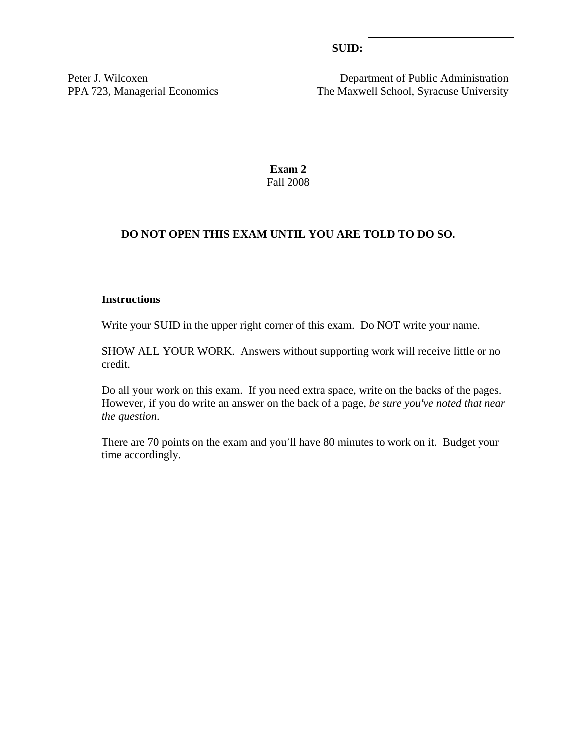| SUB: |  |
|------|--|
|      |  |

Peter J. Wilcoxen Department of Public Administration PPA 723, Managerial Economics The Maxwell School, Syracuse University

> **Exam 2**  Fall 2008

### **DO NOT OPEN THIS EXAM UNTIL YOU ARE TOLD TO DO SO.**

#### **Instructions**

Write your SUID in the upper right corner of this exam. Do NOT write your name.

SHOW ALL YOUR WORK. Answers without supporting work will receive little or no credit.

Do all your work on this exam. If you need extra space, write on the backs of the pages. However, if you do write an answer on the back of a page, *be sure you've noted that near the question*.

There are 70 points on the exam and you'll have 80 minutes to work on it. Budget your time accordingly.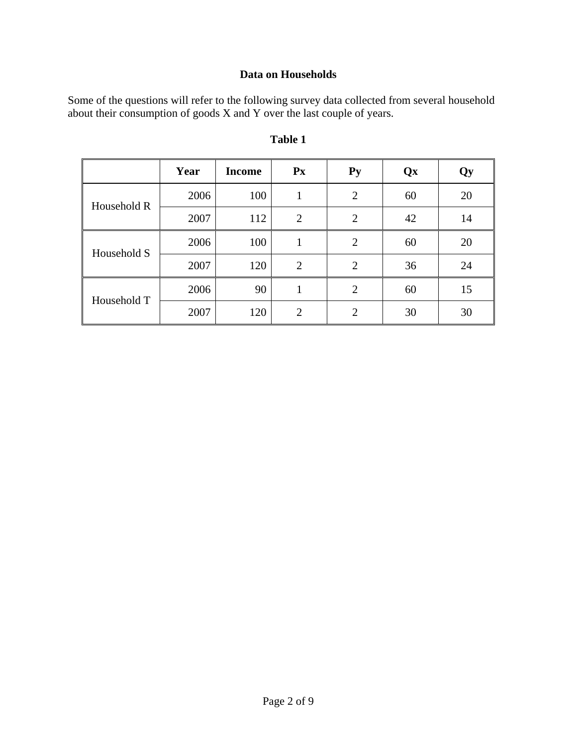# **Data on Households**

Some of the questions will refer to the following survey data collected from several household about their consumption of goods X and Y over the last couple of years.

|             | Year | <b>Income</b> | $\mathbf{P} \mathbf{x}$ | $Py$           | Qx | Qy |
|-------------|------|---------------|-------------------------|----------------|----|----|
| Household R | 2006 | 100           |                         | $\overline{2}$ | 60 | 20 |
|             | 2007 | 112           | $\overline{2}$          | $\overline{2}$ | 42 | 14 |
| Household S | 2006 | 100           | 1                       | $\overline{2}$ | 60 | 20 |
|             | 2007 | 120           | $\overline{2}$          | $\overline{2}$ | 36 | 24 |
| Household T | 2006 | 90            |                         | $\overline{2}$ | 60 | 15 |
|             | 2007 | 120           | $\mathcal{D}_{\cdot}$   | $\overline{2}$ | 30 | 30 |

## **Table 1**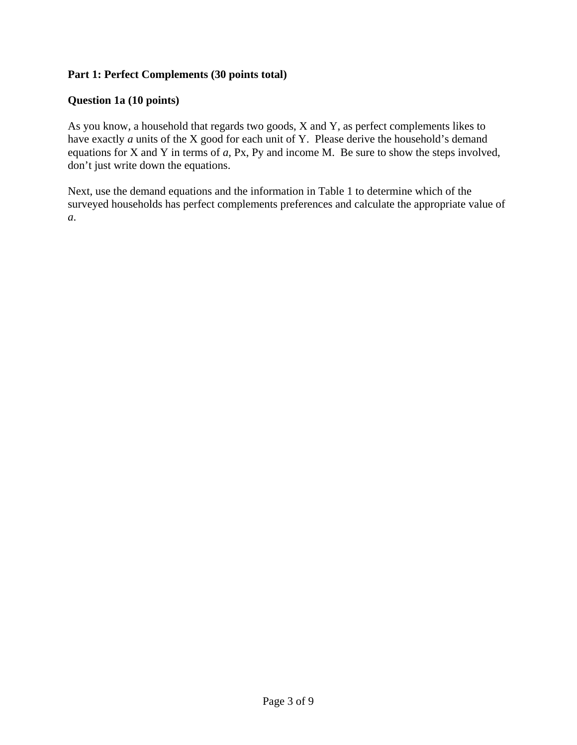### **Part 1: Perfect Complements (30 points total)**

### **Question 1a (10 points)**

As you know, a household that regards two goods, X and Y, as perfect complements likes to have exactly *a* units of the X good for each unit of Y. Please derive the household's demand equations for X and Y in terms of *a,* Px, Py and income M. Be sure to show the steps involved, don't just write down the equations.

Next, use the demand equations and the information in Table 1 to determine which of the surveyed households has perfect complements preferences and calculate the appropriate value of *a*.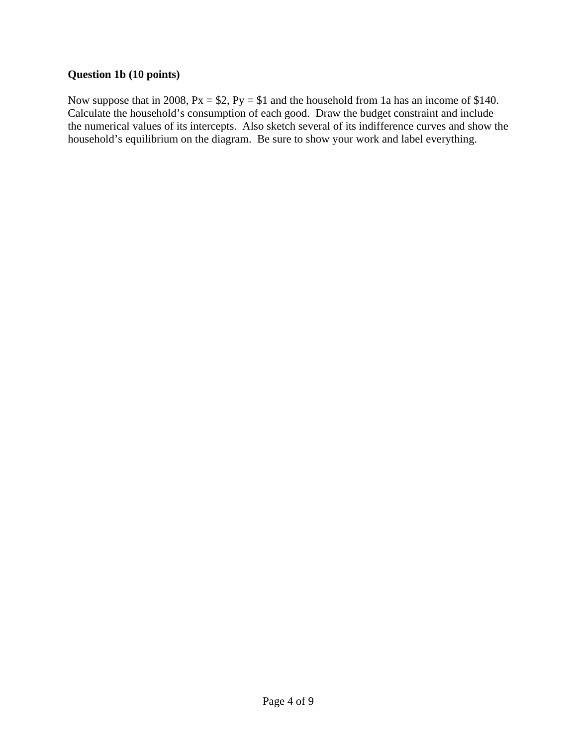### **Question 1b (10 points)**

Now suppose that in 2008,  $Px = $2$ ,  $Py = $1$  and the household from 1a has an income of \$140. Calculate the household's consumption of each good. Draw the budget constraint and include the numerical values of its intercepts. Also sketch several of its indifference curves and show the household's equilibrium on the diagram. Be sure to show your work and label everything.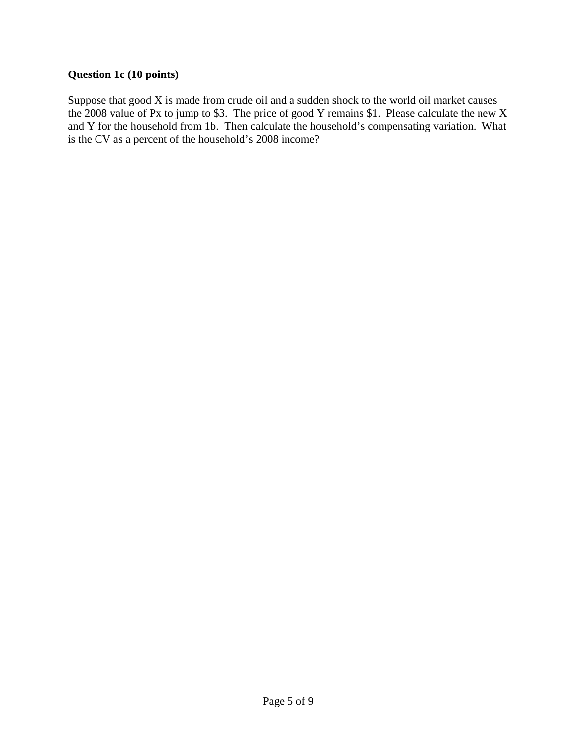## **Question 1c (10 points)**

Suppose that good X is made from crude oil and a sudden shock to the world oil market causes the 2008 value of Px to jump to \$3. The price of good Y remains \$1. Please calculate the new X and Y for the household from 1b. Then calculate the household's compensating variation. What is the CV as a percent of the household's 2008 income?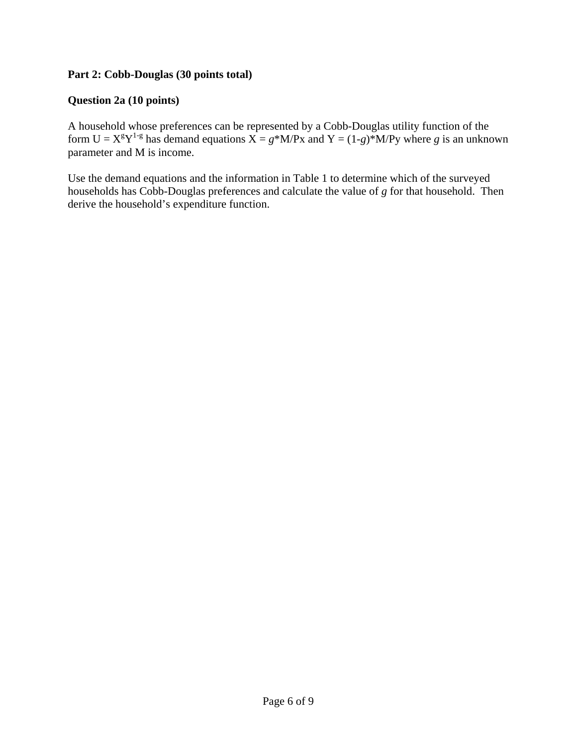### **Part 2: Cobb-Douglas (30 points total)**

### **Question 2a (10 points)**

A household whose preferences can be represented by a Cobb-Douglas utility function of the form  $U = X^{g}Y^{1-g}$  has demand equations  $X = g^*M/Px$  and  $Y = (1-g)^*M/Py$  where *g* is an unknown parameter and M is income.

Use the demand equations and the information in Table 1 to determine which of the surveyed households has Cobb-Douglas preferences and calculate the value of *g* for that household. Then derive the household's expenditure function.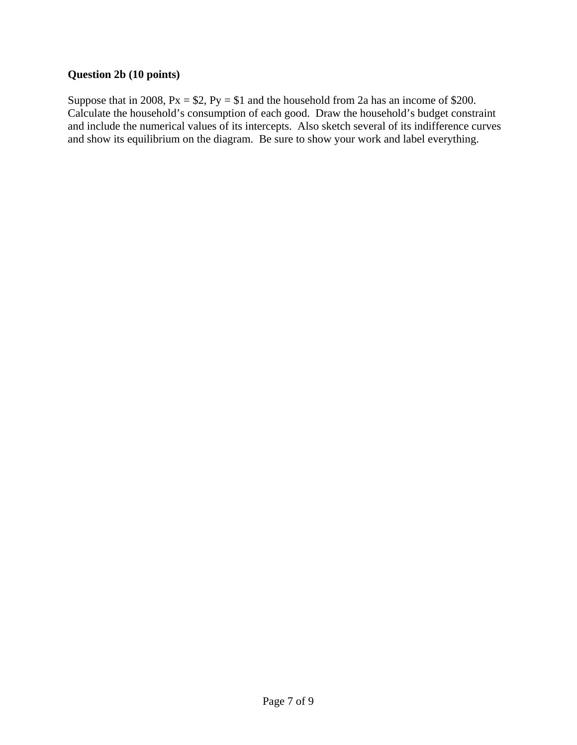### **Question 2b (10 points)**

Suppose that in 2008,  $Px = $2$ ,  $Py = $1$  and the household from 2a has an income of \$200. Calculate the household's consumption of each good. Draw the household's budget constraint and include the numerical values of its intercepts. Also sketch several of its indifference curves and show its equilibrium on the diagram. Be sure to show your work and label everything.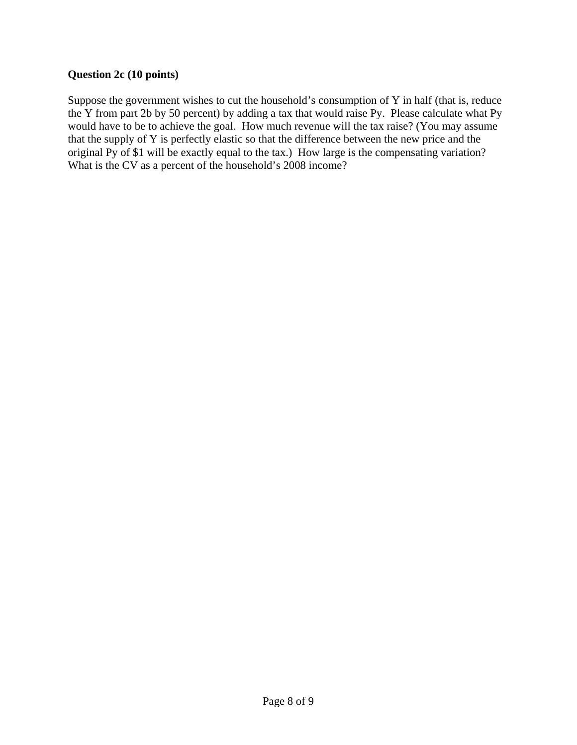### **Question 2c (10 points)**

Suppose the government wishes to cut the household's consumption of Y in half (that is, reduce the Y from part 2b by 50 percent) by adding a tax that would raise Py. Please calculate what Py would have to be to achieve the goal. How much revenue will the tax raise? (You may assume that the supply of Y is perfectly elastic so that the difference between the new price and the original Py of \$1 will be exactly equal to the tax.) How large is the compensating variation? What is the CV as a percent of the household's 2008 income?